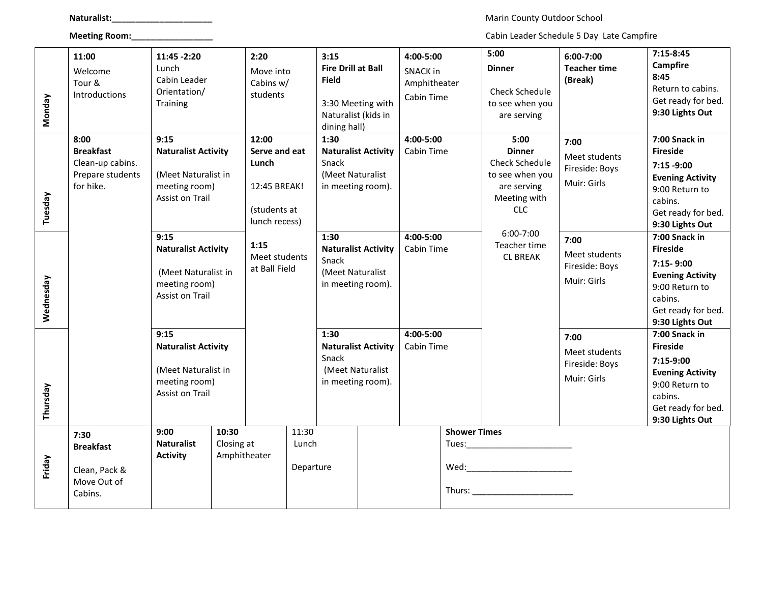**Naturalist:\_\_\_\_\_\_\_\_\_\_\_\_\_\_\_\_\_\_\_\_\_** Marin County Outdoor School

**Meeting Room:\_\_\_\_\_\_\_\_\_\_\_\_\_\_\_\_\_** Cabin Leader Schedule 5 Day Late Campfire

| <b>Monday</b> | 11:00<br>Welcome<br>Tour &<br>Introductions                                   | 11:45 - 2:20<br>Lunch<br>Cabin Leader<br>Orientation/<br>Training                                                                                                                                            |                     | 2:20<br>Move into<br>Cabins w/<br>students                                       |  | 3:15<br><b>Fire Drill at Ball</b><br><b>Field</b><br>3:30 Meeting with<br>Naturalist (kids in<br>dining hall)                                                                |  | 4:00-5:00<br><b>SNACK in</b><br>Amphitheater<br>Cabin Time |  | 5:00<br><b>Dinner</b><br><b>Check Schedule</b><br>to see when you<br>are serving                        | $6:00 - 7:00$<br><b>Teacher time</b><br>(Break)        | $7:15-8:45$<br><b>Campfire</b><br>8:45<br>Return to cabins.<br>Get ready for bed.<br>9:30 Lights Out                                               |
|---------------|-------------------------------------------------------------------------------|--------------------------------------------------------------------------------------------------------------------------------------------------------------------------------------------------------------|---------------------|----------------------------------------------------------------------------------|--|------------------------------------------------------------------------------------------------------------------------------------------------------------------------------|--|------------------------------------------------------------|--|---------------------------------------------------------------------------------------------------------|--------------------------------------------------------|----------------------------------------------------------------------------------------------------------------------------------------------------|
| Tuesday       | 8:00<br><b>Breakfast</b><br>Clean-up cabins.<br>Prepare students<br>for hike. | 9:15<br><b>Naturalist Activity</b><br>(Meet Naturalist in<br>meeting room)<br>Assist on Trail                                                                                                                |                     | 12:00<br>Serve and eat<br>Lunch<br>12:45 BREAK!<br>(students at<br>lunch recess) |  | 1:30<br><b>Naturalist Activity</b><br>Snack<br>(Meet Naturalist<br>in meeting room).                                                                                         |  | 4:00-5:00<br>Cabin Time                                    |  | 5:00<br><b>Dinner</b><br>Check Schedule<br>to see when you<br>are serving<br>Meeting with<br><b>CLC</b> | 7:00<br>Meet students<br>Fireside: Boys<br>Muir: Girls | 7:00 Snack in<br><b>Fireside</b><br>$7:15 - 9:00$<br><b>Evening Activity</b><br>9:00 Return to<br>cabins.<br>Get ready for bed.<br>9:30 Lights Out |
| Wednesday     |                                                                               | 9:15<br><b>Naturalist Activity</b><br>(Meet Naturalist in<br>meeting room)<br><b>Assist on Trail</b><br>9:15<br><b>Naturalist Activity</b><br>(Meet Naturalist in<br>meeting room)<br><b>Assist on Trail</b> |                     | 1:15<br>Meet students<br>at Ball Field                                           |  | 1:30<br><b>Naturalist Activity</b><br>Snack<br>(Meet Naturalist<br>in meeting room).<br>1:30<br><b>Naturalist Activity</b><br>Snack<br>(Meet Naturalist<br>in meeting room). |  | 4:00-5:00<br>Cabin Time<br>4:00-5:00<br>Cabin Time         |  | 6:00-7:00<br>Teacher time<br><b>CL BREAK</b>                                                            | 7:00<br>Meet students<br>Fireside: Boys<br>Muir: Girls | 7:00 Snack in<br><b>Fireside</b><br>$7:15 - 9:00$<br><b>Evening Activity</b><br>9:00 Return to<br>cabins.<br>Get ready for bed.<br>9:30 Lights Out |
| Thursday      |                                                                               |                                                                                                                                                                                                              |                     |                                                                                  |  |                                                                                                                                                                              |  |                                                            |  |                                                                                                         | 7:00<br>Meet students<br>Fireside: Boys<br>Muir: Girls | 7:00 Snack in<br><b>Fireside</b><br>7:15-9:00<br><b>Evening Activity</b><br>9:00 Return to<br>cabins.<br>Get ready for bed.<br>9:30 Lights Out     |
| Friday        | 7:30<br><b>Breakfast</b><br>Clean, Pack &<br>Move Out of<br>Cabins.           | 9:00<br><b>Naturalist</b><br><b>Activity</b>                                                                                                                                                                 | 10:30<br>Closing at | 11:30<br>Lunch<br>Amphitheater<br>Departure                                      |  |                                                                                                                                                                              |  |                                                            |  | <b>Shower Times</b><br>Tues: Tues:                                                                      |                                                        |                                                                                                                                                    |